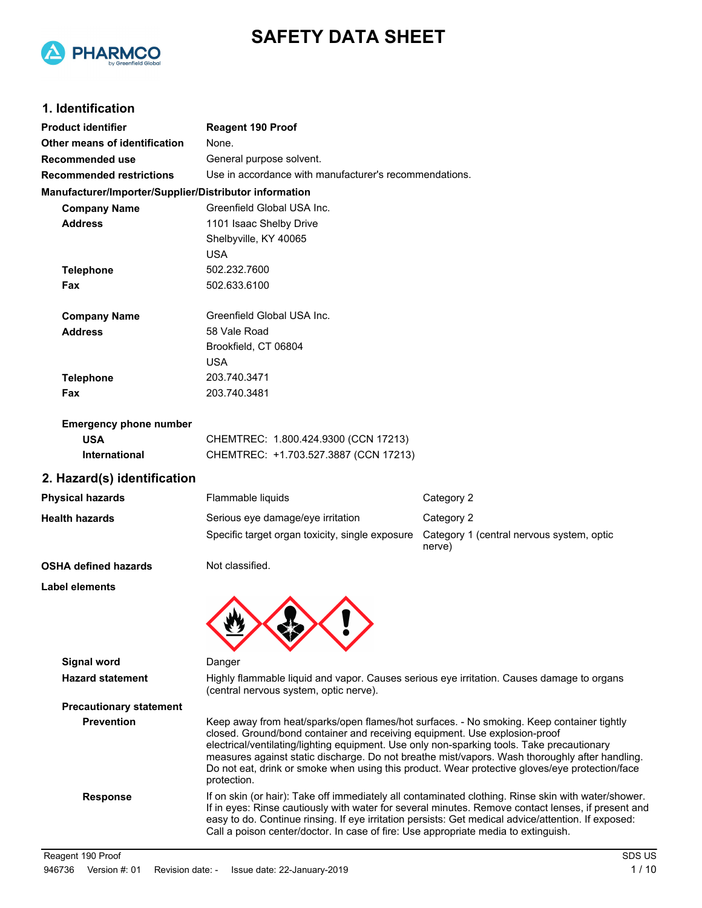



## **1. Identification**

| <b>Product identifier</b>                              | <b>Reagent 190 Proof</b>                                                                                                                                                                                                                                                                                                                                                                                                                                                                 |                                                     |  |  |
|--------------------------------------------------------|------------------------------------------------------------------------------------------------------------------------------------------------------------------------------------------------------------------------------------------------------------------------------------------------------------------------------------------------------------------------------------------------------------------------------------------------------------------------------------------|-----------------------------------------------------|--|--|
| Other means of identification                          | None.                                                                                                                                                                                                                                                                                                                                                                                                                                                                                    |                                                     |  |  |
| Recommended use                                        | General purpose solvent.                                                                                                                                                                                                                                                                                                                                                                                                                                                                 |                                                     |  |  |
| <b>Recommended restrictions</b>                        | Use in accordance with manufacturer's recommendations.                                                                                                                                                                                                                                                                                                                                                                                                                                   |                                                     |  |  |
| Manufacturer/Importer/Supplier/Distributor information |                                                                                                                                                                                                                                                                                                                                                                                                                                                                                          |                                                     |  |  |
| <b>Company Name</b>                                    | Greenfield Global USA Inc.                                                                                                                                                                                                                                                                                                                                                                                                                                                               |                                                     |  |  |
| <b>Address</b>                                         | 1101 Isaac Shelby Drive                                                                                                                                                                                                                                                                                                                                                                                                                                                                  |                                                     |  |  |
|                                                        | Shelbyville, KY 40065                                                                                                                                                                                                                                                                                                                                                                                                                                                                    |                                                     |  |  |
|                                                        | <b>USA</b>                                                                                                                                                                                                                                                                                                                                                                                                                                                                               |                                                     |  |  |
| <b>Telephone</b>                                       | 502.232.7600                                                                                                                                                                                                                                                                                                                                                                                                                                                                             |                                                     |  |  |
| Fax                                                    | 502.633.6100                                                                                                                                                                                                                                                                                                                                                                                                                                                                             |                                                     |  |  |
| <b>Company Name</b>                                    | Greenfield Global USA Inc.                                                                                                                                                                                                                                                                                                                                                                                                                                                               |                                                     |  |  |
| <b>Address</b>                                         | 58 Vale Road                                                                                                                                                                                                                                                                                                                                                                                                                                                                             |                                                     |  |  |
|                                                        | Brookfield, CT 06804                                                                                                                                                                                                                                                                                                                                                                                                                                                                     |                                                     |  |  |
|                                                        | <b>USA</b>                                                                                                                                                                                                                                                                                                                                                                                                                                                                               |                                                     |  |  |
| <b>Telephone</b>                                       | 203.740.3471                                                                                                                                                                                                                                                                                                                                                                                                                                                                             |                                                     |  |  |
| Fax                                                    | 203.740.3481                                                                                                                                                                                                                                                                                                                                                                                                                                                                             |                                                     |  |  |
| <b>Emergency phone number</b>                          |                                                                                                                                                                                                                                                                                                                                                                                                                                                                                          |                                                     |  |  |
| <b>USA</b>                                             | CHEMTREC: 1.800.424.9300 (CCN 17213)                                                                                                                                                                                                                                                                                                                                                                                                                                                     |                                                     |  |  |
| International                                          | CHEMTREC: +1.703.527.3887 (CCN 17213)                                                                                                                                                                                                                                                                                                                                                                                                                                                    |                                                     |  |  |
| 2. Hazard(s) identification                            |                                                                                                                                                                                                                                                                                                                                                                                                                                                                                          |                                                     |  |  |
| <b>Physical hazards</b>                                | Flammable liquids                                                                                                                                                                                                                                                                                                                                                                                                                                                                        | Category 2                                          |  |  |
| <b>Health hazards</b>                                  | Serious eye damage/eye irritation                                                                                                                                                                                                                                                                                                                                                                                                                                                        | Category 2                                          |  |  |
|                                                        | Specific target organ toxicity, single exposure                                                                                                                                                                                                                                                                                                                                                                                                                                          | Category 1 (central nervous system, optic<br>nerve) |  |  |
| <b>OSHA defined hazards</b>                            | Not classified.                                                                                                                                                                                                                                                                                                                                                                                                                                                                          |                                                     |  |  |
| <b>Label elements</b>                                  |                                                                                                                                                                                                                                                                                                                                                                                                                                                                                          |                                                     |  |  |
|                                                        |                                                                                                                                                                                                                                                                                                                                                                                                                                                                                          |                                                     |  |  |
| <b>Signal word</b>                                     | Danger                                                                                                                                                                                                                                                                                                                                                                                                                                                                                   |                                                     |  |  |
| <b>Hazard statement</b>                                | Highly flammable liquid and vapor. Causes serious eye irritation. Causes damage to organs<br>(central nervous system, optic nerve).                                                                                                                                                                                                                                                                                                                                                      |                                                     |  |  |
| <b>Precautionary statement</b>                         |                                                                                                                                                                                                                                                                                                                                                                                                                                                                                          |                                                     |  |  |
| <b>Prevention</b>                                      | Keep away from heat/sparks/open flames/hot surfaces. - No smoking. Keep container tightly<br>closed. Ground/bond container and receiving equipment. Use explosion-proof<br>electrical/ventilating/lighting equipment. Use only non-sparking tools. Take precautionary<br>measures against static discharge. Do not breathe mist/vapors. Wash thoroughly after handling.<br>Do not eat, drink or smoke when using this product. Wear protective gloves/eye protection/face<br>protection. |                                                     |  |  |
| <b>Response</b>                                        | If on skin (or hair): Take off immediately all contaminated clothing. Rinse skin with water/shower.<br>If in eyes: Rinse cautiously with water for several minutes. Remove contact lenses, if present and<br>easy to do. Continue rinsing. If eye irritation persists: Get medical advice/attention. If exposed:<br>Call a poison center/doctor. In case of fire: Use appropriate media to extinguish.                                                                                   |                                                     |  |  |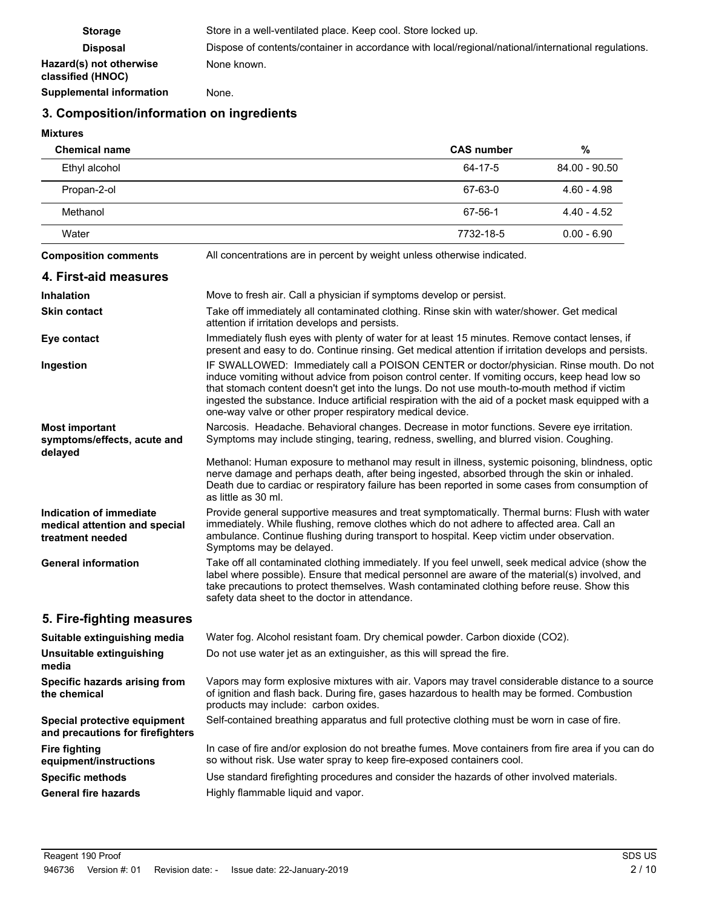| <b>Storage</b>                               | Store in a well-ventilated place. Keep cool. Store locked up.                                       |
|----------------------------------------------|-----------------------------------------------------------------------------------------------------|
| <b>Disposal</b>                              | Dispose of contents/container in accordance with local/regional/national/international regulations. |
| Hazard(s) not otherwise<br>classified (HNOC) | None known.                                                                                         |
| <b>Supplemental information</b>              | None.                                                                                               |

## **3. Composition/information on ingredients**

### **Mixtures**

| <b>Chemical name</b>                                                         |                                                                                                                                                                                                                                                                                                                                                                                                                                                               | <b>CAS number</b> | $\%$          |  |  |
|------------------------------------------------------------------------------|---------------------------------------------------------------------------------------------------------------------------------------------------------------------------------------------------------------------------------------------------------------------------------------------------------------------------------------------------------------------------------------------------------------------------------------------------------------|-------------------|---------------|--|--|
| Ethyl alcohol                                                                |                                                                                                                                                                                                                                                                                                                                                                                                                                                               | $64 - 17 - 5$     | 84.00 - 90.50 |  |  |
| Propan-2-ol                                                                  |                                                                                                                                                                                                                                                                                                                                                                                                                                                               | 67-63-0           | $4.60 - 4.98$ |  |  |
| Methanol                                                                     |                                                                                                                                                                                                                                                                                                                                                                                                                                                               | 67-56-1           | $4.40 - 4.52$ |  |  |
| Water                                                                        |                                                                                                                                                                                                                                                                                                                                                                                                                                                               | 7732-18-5         | $0.00 - 6.90$ |  |  |
| <b>Composition comments</b>                                                  | All concentrations are in percent by weight unless otherwise indicated.                                                                                                                                                                                                                                                                                                                                                                                       |                   |               |  |  |
| 4. First-aid measures                                                        |                                                                                                                                                                                                                                                                                                                                                                                                                                                               |                   |               |  |  |
| <b>Inhalation</b>                                                            | Move to fresh air. Call a physician if symptoms develop or persist.                                                                                                                                                                                                                                                                                                                                                                                           |                   |               |  |  |
| <b>Skin contact</b>                                                          | Take off immediately all contaminated clothing. Rinse skin with water/shower. Get medical<br>attention if irritation develops and persists.                                                                                                                                                                                                                                                                                                                   |                   |               |  |  |
| Eye contact                                                                  | Immediately flush eyes with plenty of water for at least 15 minutes. Remove contact lenses, if<br>present and easy to do. Continue rinsing. Get medical attention if irritation develops and persists.                                                                                                                                                                                                                                                        |                   |               |  |  |
| Ingestion                                                                    | IF SWALLOWED: Immediately call a POISON CENTER or doctor/physician. Rinse mouth. Do not<br>induce vomiting without advice from poison control center. If vomiting occurs, keep head low so<br>that stomach content doesn't get into the lungs. Do not use mouth-to-mouth method if victim<br>ingested the substance. Induce artificial respiration with the aid of a pocket mask equipped with a<br>one-way valve or other proper respiratory medical device. |                   |               |  |  |
| <b>Most important</b><br>symptoms/effects, acute and                         | Narcosis. Headache. Behavioral changes. Decrease in motor functions. Severe eye irritation.<br>Symptoms may include stinging, tearing, redness, swelling, and blurred vision. Coughing.                                                                                                                                                                                                                                                                       |                   |               |  |  |
| delayed                                                                      | Methanol: Human exposure to methanol may result in illness, systemic poisoning, blindness, optic<br>nerve damage and perhaps death, after being ingested, absorbed through the skin or inhaled.<br>Death due to cardiac or respiratory failure has been reported in some cases from consumption of<br>as little as 30 ml.                                                                                                                                     |                   |               |  |  |
| Indication of immediate<br>medical attention and special<br>treatment needed | Provide general supportive measures and treat symptomatically. Thermal burns: Flush with water<br>immediately. While flushing, remove clothes which do not adhere to affected area. Call an<br>ambulance. Continue flushing during transport to hospital. Keep victim under observation.<br>Symptoms may be delayed.                                                                                                                                          |                   |               |  |  |
| <b>General information</b>                                                   | Take off all contaminated clothing immediately. If you feel unwell, seek medical advice (show the<br>label where possible). Ensure that medical personnel are aware of the material(s) involved, and<br>take precautions to protect themselves. Wash contaminated clothing before reuse. Show this<br>safety data sheet to the doctor in attendance.                                                                                                          |                   |               |  |  |
| 5. Fire-fighting measures                                                    |                                                                                                                                                                                                                                                                                                                                                                                                                                                               |                   |               |  |  |
| Suitable extinguishing media                                                 | Water fog. Alcohol resistant foam. Dry chemical powder. Carbon dioxide (CO2).                                                                                                                                                                                                                                                                                                                                                                                 |                   |               |  |  |
| Unsuitable extinguishing<br>media                                            | Do not use water jet as an extinguisher, as this will spread the fire.                                                                                                                                                                                                                                                                                                                                                                                        |                   |               |  |  |
| Specific hazards arising from<br>the chemical                                | Vapors may form explosive mixtures with air. Vapors may travel considerable distance to a source<br>of ignition and flash back. During fire, gases hazardous to health may be formed. Combustion<br>products may include: carbon oxides.                                                                                                                                                                                                                      |                   |               |  |  |
| Special protective equipment<br>and precautions for firefighters             | Self-contained breathing apparatus and full protective clothing must be worn in case of fire.                                                                                                                                                                                                                                                                                                                                                                 |                   |               |  |  |
| <b>Fire fighting</b><br>equipment/instructions                               | In case of fire and/or explosion do not breathe fumes. Move containers from fire area if you can do<br>so without risk. Use water spray to keep fire-exposed containers cool.                                                                                                                                                                                                                                                                                 |                   |               |  |  |
| <b>Specific methods</b>                                                      | Use standard firefighting procedures and consider the hazards of other involved materials.                                                                                                                                                                                                                                                                                                                                                                    |                   |               |  |  |
| <b>General fire hazards</b>                                                  | Highly flammable liquid and vapor.                                                                                                                                                                                                                                                                                                                                                                                                                            |                   |               |  |  |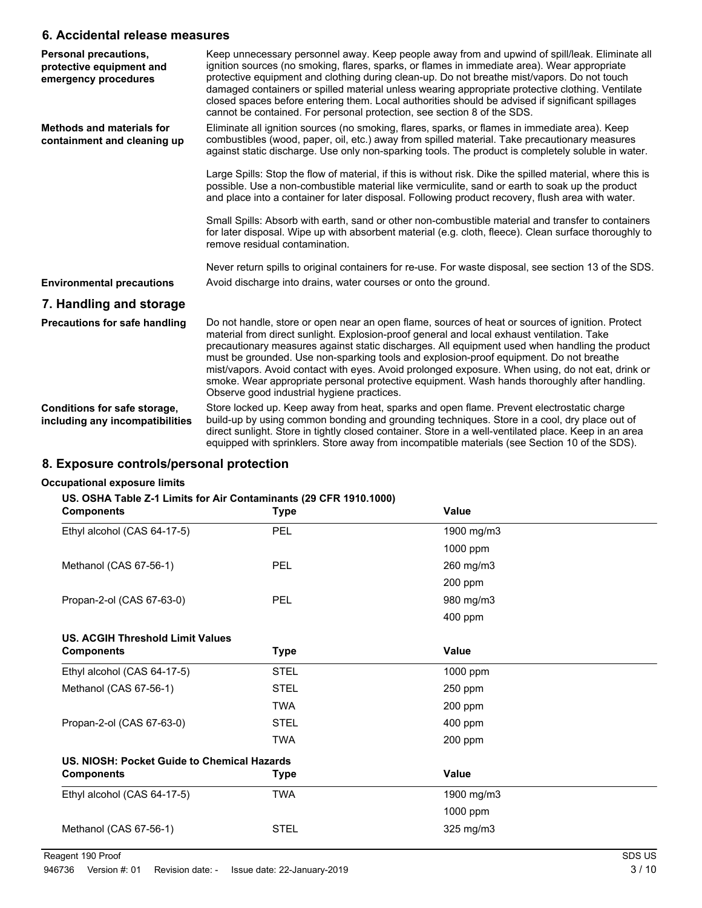### **6. Accidental release measures**

| Personal precautions,<br>protective equipment and<br>emergency procedures | Keep unnecessary personnel away. Keep people away from and upwind of spill/leak. Eliminate all<br>ignition sources (no smoking, flares, sparks, or flames in immediate area). Wear appropriate<br>protective equipment and clothing during clean-up. Do not breathe mist/vapors. Do not touch<br>damaged containers or spilled material unless wearing appropriate protective clothing. Ventilate<br>closed spaces before entering them. Local authorities should be advised if significant spillages<br>cannot be contained. For personal protection, see section 8 of the SDS.                                                             |
|---------------------------------------------------------------------------|----------------------------------------------------------------------------------------------------------------------------------------------------------------------------------------------------------------------------------------------------------------------------------------------------------------------------------------------------------------------------------------------------------------------------------------------------------------------------------------------------------------------------------------------------------------------------------------------------------------------------------------------|
| <b>Methods and materials for</b><br>containment and cleaning up           | Eliminate all ignition sources (no smoking, flares, sparks, or flames in immediate area). Keep<br>combustibles (wood, paper, oil, etc.) away from spilled material. Take precautionary measures<br>against static discharge. Use only non-sparking tools. The product is completely soluble in water.                                                                                                                                                                                                                                                                                                                                        |
|                                                                           | Large Spills: Stop the flow of material, if this is without risk. Dike the spilled material, where this is<br>possible. Use a non-combustible material like vermiculite, sand or earth to soak up the product<br>and place into a container for later disposal. Following product recovery, flush area with water.                                                                                                                                                                                                                                                                                                                           |
|                                                                           | Small Spills: Absorb with earth, sand or other non-combustible material and transfer to containers<br>for later disposal. Wipe up with absorbent material (e.g. cloth, fleece). Clean surface thoroughly to<br>remove residual contamination.                                                                                                                                                                                                                                                                                                                                                                                                |
|                                                                           | Never return spills to original containers for re-use. For waste disposal, see section 13 of the SDS.                                                                                                                                                                                                                                                                                                                                                                                                                                                                                                                                        |
| <b>Environmental precautions</b>                                          | Avoid discharge into drains, water courses or onto the ground.                                                                                                                                                                                                                                                                                                                                                                                                                                                                                                                                                                               |
| 7. Handling and storage                                                   |                                                                                                                                                                                                                                                                                                                                                                                                                                                                                                                                                                                                                                              |
| <b>Precautions for safe handling</b>                                      | Do not handle, store or open near an open flame, sources of heat or sources of ignition. Protect<br>material from direct sunlight. Explosion-proof general and local exhaust ventilation. Take<br>precautionary measures against static discharges. All equipment used when handling the product<br>must be grounded. Use non-sparking tools and explosion-proof equipment. Do not breathe<br>mist/vapors. Avoid contact with eyes. Avoid prolonged exposure. When using, do not eat, drink or<br>smoke. Wear appropriate personal protective equipment. Wash hands thoroughly after handling.<br>Observe good industrial hygiene practices. |
| Conditions for safe storage,<br>including any incompatibilities           | Store locked up. Keep away from heat, sparks and open flame. Prevent electrostatic charge<br>build-up by using common bonding and grounding techniques. Store in a cool, dry place out of<br>direct sunlight. Store in tightly closed container. Store in a well-ventilated place. Keep in an area<br>equipped with sprinklers. Store away from incompatible materials (see Section 10 of the SDS).                                                                                                                                                                                                                                          |

## **8. Exposure controls/personal protection**

#### **Occupational exposure limits**

### **US. OSHA Table Z-1 Limits for Air Contaminants (29 CFR 1910.1000)**

| <b>Components</b>                           | <b>Type</b> | Value      |  |  |
|---------------------------------------------|-------------|------------|--|--|
| Ethyl alcohol (CAS 64-17-5)                 | <b>PEL</b>  | 1900 mg/m3 |  |  |
|                                             |             | 1000 ppm   |  |  |
| Methanol (CAS 67-56-1)                      | <b>PEL</b>  | 260 mg/m3  |  |  |
|                                             |             | 200 ppm    |  |  |
| Propan-2-ol (CAS 67-63-0)                   | <b>PEL</b>  | 980 mg/m3  |  |  |
|                                             |             | 400 ppm    |  |  |
| <b>US. ACGIH Threshold Limit Values</b>     |             |            |  |  |
| <b>Components</b>                           | <b>Type</b> | Value      |  |  |
| Ethyl alcohol (CAS 64-17-5)                 | <b>STEL</b> | 1000 ppm   |  |  |
| Methanol (CAS 67-56-1)                      | <b>STEL</b> | 250 ppm    |  |  |
|                                             | <b>TWA</b>  | 200 ppm    |  |  |
| Propan-2-ol (CAS 67-63-0)                   | <b>STEL</b> | 400 ppm    |  |  |
|                                             | <b>TWA</b>  | $200$ ppm  |  |  |
| US. NIOSH: Pocket Guide to Chemical Hazards |             |            |  |  |
| <b>Components</b>                           | Type        | Value      |  |  |
| Ethyl alcohol (CAS 64-17-5)                 | <b>TWA</b>  | 1900 mg/m3 |  |  |
|                                             |             | 1000 ppm   |  |  |
| Methanol (CAS 67-56-1)                      | <b>STEL</b> | 325 mg/m3  |  |  |
|                                             |             |            |  |  |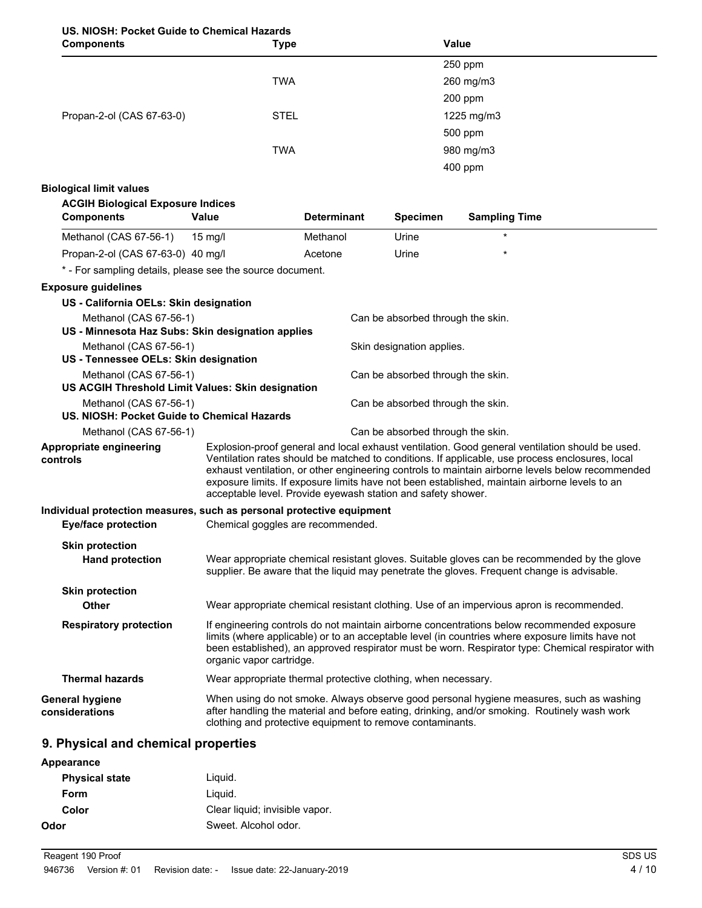### **US. NIOSH: Pocket Guide to Chemical Hazards**

| <b>Components</b>         | <b>Type</b> | Value      |  |
|---------------------------|-------------|------------|--|
|                           |             | 250 ppm    |  |
|                           | <b>TWA</b>  | 260 mg/m3  |  |
|                           |             | 200 ppm    |  |
| Propan-2-ol (CAS 67-63-0) | <b>STEL</b> | 1225 mg/m3 |  |
|                           |             | 500 ppm    |  |
|                           | <b>TWA</b>  | 980 mg/m3  |  |
|                           |             | 400 ppm    |  |

#### **Biological limit values**

| <b>ACGIH Biological Exposure Indices</b><br><b>Components</b>                                                    | Value                                                                                                                                                                                                                                                                                                                                                                                                                                                                   | <b>Determinant</b> | <b>Specimen</b>                   | <b>Sampling Time</b>                                                                                                                                                                    |  |
|------------------------------------------------------------------------------------------------------------------|-------------------------------------------------------------------------------------------------------------------------------------------------------------------------------------------------------------------------------------------------------------------------------------------------------------------------------------------------------------------------------------------------------------------------------------------------------------------------|--------------------|-----------------------------------|-----------------------------------------------------------------------------------------------------------------------------------------------------------------------------------------|--|
| Methanol (CAS 67-56-1)                                                                                           | $15 \text{ mg/l}$                                                                                                                                                                                                                                                                                                                                                                                                                                                       | Methanol           | Urine                             |                                                                                                                                                                                         |  |
| Propan-2-ol (CAS 67-63-0) 40 mg/l                                                                                |                                                                                                                                                                                                                                                                                                                                                                                                                                                                         | Acetone            | Urine                             |                                                                                                                                                                                         |  |
| * - For sampling details, please see the source document.                                                        |                                                                                                                                                                                                                                                                                                                                                                                                                                                                         |                    |                                   |                                                                                                                                                                                         |  |
| <b>Exposure guidelines</b>                                                                                       |                                                                                                                                                                                                                                                                                                                                                                                                                                                                         |                    |                                   |                                                                                                                                                                                         |  |
|                                                                                                                  | US - California OELs: Skin designation                                                                                                                                                                                                                                                                                                                                                                                                                                  |                    |                                   |                                                                                                                                                                                         |  |
| Methanol (CAS 67-56-1)<br>Can be absorbed through the skin.<br>US - Minnesota Haz Subs: Skin designation applies |                                                                                                                                                                                                                                                                                                                                                                                                                                                                         |                    |                                   |                                                                                                                                                                                         |  |
| Methanol (CAS 67-56-1)<br>US - Tennessee OELs: Skin designation                                                  |                                                                                                                                                                                                                                                                                                                                                                                                                                                                         |                    | Skin designation applies.         |                                                                                                                                                                                         |  |
| Methanol (CAS 67-56-1)                                                                                           | Can be absorbed through the skin.<br>US ACGIH Threshold Limit Values: Skin designation                                                                                                                                                                                                                                                                                                                                                                                  |                    |                                   |                                                                                                                                                                                         |  |
|                                                                                                                  | Methanol (CAS 67-56-1)<br>Can be absorbed through the skin.<br>US. NIOSH: Pocket Guide to Chemical Hazards                                                                                                                                                                                                                                                                                                                                                              |                    |                                   |                                                                                                                                                                                         |  |
| Methanol (CAS 67-56-1)                                                                                           |                                                                                                                                                                                                                                                                                                                                                                                                                                                                         |                    | Can be absorbed through the skin. |                                                                                                                                                                                         |  |
| Appropriate engineering<br>controls                                                                              | Explosion-proof general and local exhaust ventilation. Good general ventilation should be used.<br>Ventilation rates should be matched to conditions. If applicable, use process enclosures, local<br>exhaust ventilation, or other engineering controls to maintain airborne levels below recommended<br>exposure limits. If exposure limits have not been established, maintain airborne levels to an<br>acceptable level. Provide eyewash station and safety shower. |                    |                                   |                                                                                                                                                                                         |  |
| Individual protection measures, such as personal protective equipment                                            |                                                                                                                                                                                                                                                                                                                                                                                                                                                                         |                    |                                   |                                                                                                                                                                                         |  |
| <b>Eye/face protection</b>                                                                                       | Chemical goggles are recommended.                                                                                                                                                                                                                                                                                                                                                                                                                                       |                    |                                   |                                                                                                                                                                                         |  |
| <b>Skin protection</b><br><b>Hand protection</b>                                                                 | Wear appropriate chemical resistant gloves. Suitable gloves can be recommended by the glove<br>supplier. Be aware that the liquid may penetrate the gloves. Frequent change is advisable.                                                                                                                                                                                                                                                                               |                    |                                   |                                                                                                                                                                                         |  |
| <b>Skin protection</b>                                                                                           |                                                                                                                                                                                                                                                                                                                                                                                                                                                                         |                    |                                   |                                                                                                                                                                                         |  |
| Other                                                                                                            |                                                                                                                                                                                                                                                                                                                                                                                                                                                                         |                    |                                   | Wear appropriate chemical resistant clothing. Use of an impervious apron is recommended.                                                                                                |  |
| <b>Respiratory protection</b>                                                                                    | If engineering controls do not maintain airborne concentrations below recommended exposure<br>limits (where applicable) or to an acceptable level (in countries where exposure limits have not<br>been established), an approved respirator must be worn. Respirator type: Chemical respirator with<br>organic vapor cartridge.                                                                                                                                         |                    |                                   |                                                                                                                                                                                         |  |
| <b>Thermal hazards</b>                                                                                           | Wear appropriate thermal protective clothing, when necessary.                                                                                                                                                                                                                                                                                                                                                                                                           |                    |                                   |                                                                                                                                                                                         |  |
| <b>General hygiene</b><br>considerations                                                                         | clothing and protective equipment to remove contaminants.                                                                                                                                                                                                                                                                                                                                                                                                               |                    |                                   | When using do not smoke. Always observe good personal hygiene measures, such as washing<br>after handling the material and before eating, drinking, and/or smoking. Routinely wash work |  |

### **9. Physical and chemical properties**

| Appearance            |                                |
|-----------------------|--------------------------------|
| <b>Physical state</b> | Liguid.                        |
| Form                  | Liguid.                        |
| Color                 | Clear liquid; invisible vapor. |
| Odor                  | Sweet, Alcohol odor,           |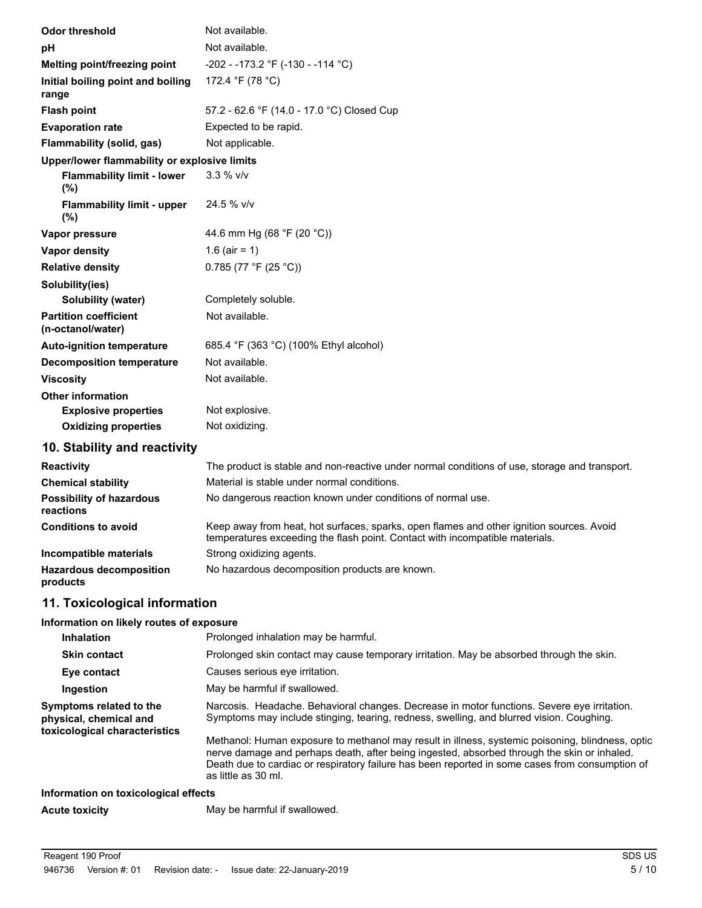| <b>Odor threshold</b>                             | Not available.                                                                                                                                                           |
|---------------------------------------------------|--------------------------------------------------------------------------------------------------------------------------------------------------------------------------|
| рH                                                | Not available.                                                                                                                                                           |
| Melting point/freezing point                      | -202 - -173.2 °F (-130 - -114 °C)                                                                                                                                        |
| Initial boiling point and boiling<br>range        | 172.4 °F (78 °C)                                                                                                                                                         |
| <b>Flash point</b>                                | 57.2 - 62.6 °F (14.0 - 17.0 °C) Closed Cup                                                                                                                               |
| <b>Evaporation rate</b>                           | Expected to be rapid.                                                                                                                                                    |
| Flammability (solid, gas)                         | Not applicable.                                                                                                                                                          |
| Upper/lower flammability or explosive limits      |                                                                                                                                                                          |
| <b>Flammability limit - lower</b><br>(%)          | 3.3 % v/v                                                                                                                                                                |
| <b>Flammability limit - upper</b><br>(%)          | 24.5 % v/v                                                                                                                                                               |
| Vapor pressure                                    | 44.6 mm Hg (68 °F (20 °C))                                                                                                                                               |
| <b>Vapor density</b>                              | 1.6 (air = 1)                                                                                                                                                            |
| <b>Relative density</b>                           | 0.785 (77 °F (25 °C))                                                                                                                                                    |
| Solubility(ies)                                   |                                                                                                                                                                          |
| <b>Solubility (water)</b>                         | Completely soluble.                                                                                                                                                      |
| <b>Partition coefficient</b><br>(n-octanol/water) | Not available.                                                                                                                                                           |
| <b>Auto-ignition temperature</b>                  | 685.4 °F (363 °C) (100% Ethyl alcohol)                                                                                                                                   |
| <b>Decomposition temperature</b>                  | Not available.                                                                                                                                                           |
| <b>Viscosity</b>                                  | Not available.                                                                                                                                                           |
| <b>Other information</b>                          |                                                                                                                                                                          |
| <b>Explosive properties</b>                       | Not explosive.                                                                                                                                                           |
| <b>Oxidizing properties</b>                       | Not oxidizing.                                                                                                                                                           |
| 10. Stability and reactivity                      |                                                                                                                                                                          |
| <b>Reactivity</b>                                 | The product is stable and non-reactive under normal conditions of use, storage and transport.                                                                            |
| <b>Chemical stability</b>                         | Material is stable under normal conditions.                                                                                                                              |
| <b>Possibility of hazardous</b><br>reactions      | No dangerous reaction known under conditions of normal use.                                                                                                              |
| <b>Conditions to avoid</b>                        | Keep away from heat, hot surfaces, sparks, open flames and other ignition sources. Avoid<br>temperatures exceeding the flash point. Contact with incompatible materials. |
| Incompatible materials                            | Strong oxidizing agents.                                                                                                                                                 |
| <b>Hazardous decomposition</b>                    | No hazardous decomposition products are known.                                                                                                                           |

# **11. Toxicological information**

**products**

#### **Information on likely routes of exposure**

| <b>Inhalation</b>                                                                  | Prolonged inhalation may be harmful.                                                                                                                                                                                                                                                                                      |
|------------------------------------------------------------------------------------|---------------------------------------------------------------------------------------------------------------------------------------------------------------------------------------------------------------------------------------------------------------------------------------------------------------------------|
| <b>Skin contact</b>                                                                | Prolonged skin contact may cause temporary irritation. May be absorbed through the skin.                                                                                                                                                                                                                                  |
| Eye contact                                                                        | Causes serious eye irritation.                                                                                                                                                                                                                                                                                            |
| Ingestion                                                                          | May be harmful if swallowed.                                                                                                                                                                                                                                                                                              |
| Symptoms related to the<br>physical, chemical and<br>toxicological characteristics | Narcosis. Headache. Behavioral changes. Decrease in motor functions. Severe eye irritation.<br>Symptoms may include stinging, tearing, redness, swelling, and blurred vision. Coughing.                                                                                                                                   |
|                                                                                    | Methanol: Human exposure to methanol may result in illness, systemic poisoning, blindness, optic<br>nerve damage and perhaps death, after being ingested, absorbed through the skin or inhaled.<br>Death due to cardiac or respiratory failure has been reported in some cases from consumption of<br>as little as 30 ml. |
| Information on toxicological effects                                               |                                                                                                                                                                                                                                                                                                                           |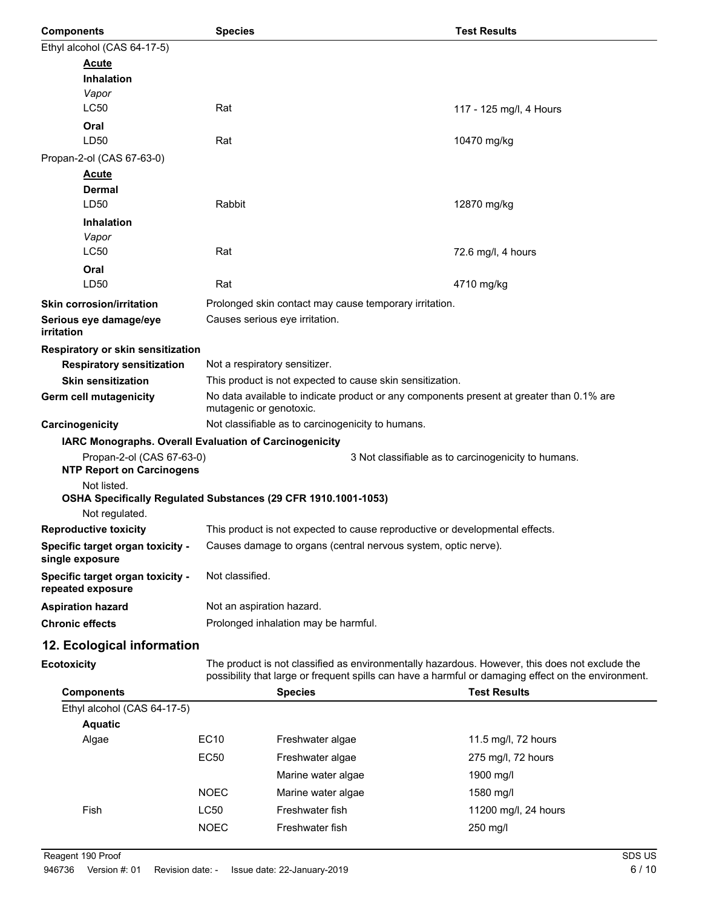| <b>Components</b>                                                     | <b>Species</b>                                                                                                                                                                                        |                                                                                            | <b>Test Results</b>                                 |  |  |
|-----------------------------------------------------------------------|-------------------------------------------------------------------------------------------------------------------------------------------------------------------------------------------------------|--------------------------------------------------------------------------------------------|-----------------------------------------------------|--|--|
| Ethyl alcohol (CAS 64-17-5)                                           |                                                                                                                                                                                                       |                                                                                            |                                                     |  |  |
| <b>Acute</b>                                                          |                                                                                                                                                                                                       |                                                                                            |                                                     |  |  |
| <b>Inhalation</b>                                                     |                                                                                                                                                                                                       |                                                                                            |                                                     |  |  |
| Vapor                                                                 |                                                                                                                                                                                                       |                                                                                            |                                                     |  |  |
| <b>LC50</b>                                                           | Rat                                                                                                                                                                                                   |                                                                                            | 117 - 125 mg/l, 4 Hours                             |  |  |
| Oral                                                                  |                                                                                                                                                                                                       |                                                                                            |                                                     |  |  |
| LD50                                                                  | Rat                                                                                                                                                                                                   |                                                                                            | 10470 mg/kg                                         |  |  |
| Propan-2-ol (CAS 67-63-0)                                             |                                                                                                                                                                                                       |                                                                                            |                                                     |  |  |
| <u>Acute</u>                                                          |                                                                                                                                                                                                       |                                                                                            |                                                     |  |  |
| <b>Dermal</b><br>LD50                                                 | Rabbit                                                                                                                                                                                                |                                                                                            | 12870 mg/kg                                         |  |  |
| <b>Inhalation</b>                                                     |                                                                                                                                                                                                       |                                                                                            |                                                     |  |  |
| Vapor                                                                 |                                                                                                                                                                                                       |                                                                                            |                                                     |  |  |
| LC50                                                                  | Rat                                                                                                                                                                                                   |                                                                                            | 72.6 mg/l, 4 hours                                  |  |  |
| Oral                                                                  |                                                                                                                                                                                                       |                                                                                            |                                                     |  |  |
| LD50                                                                  | Rat                                                                                                                                                                                                   |                                                                                            | 4710 mg/kg                                          |  |  |
| <b>Skin corrosion/irritation</b>                                      |                                                                                                                                                                                                       | Prolonged skin contact may cause temporary irritation.                                     |                                                     |  |  |
| Serious eye damage/eye                                                |                                                                                                                                                                                                       | Causes serious eye irritation.                                                             |                                                     |  |  |
| <i>irritation</i>                                                     |                                                                                                                                                                                                       |                                                                                            |                                                     |  |  |
| Respiratory or skin sensitization<br><b>Respiratory sensitization</b> |                                                                                                                                                                                                       |                                                                                            |                                                     |  |  |
| <b>Skin sensitization</b>                                             |                                                                                                                                                                                                       | Not a respiratory sensitizer.<br>This product is not expected to cause skin sensitization. |                                                     |  |  |
| Germ cell mutagenicity                                                |                                                                                                                                                                                                       | No data available to indicate product or any components present at greater than 0.1% are   |                                                     |  |  |
|                                                                       | mutagenic or genotoxic.                                                                                                                                                                               |                                                                                            |                                                     |  |  |
| Carcinogenicity                                                       |                                                                                                                                                                                                       | Not classifiable as to carcinogenicity to humans.                                          |                                                     |  |  |
| IARC Monographs. Overall Evaluation of Carcinogenicity                |                                                                                                                                                                                                       |                                                                                            |                                                     |  |  |
| Propan-2-ol (CAS 67-63-0)                                             |                                                                                                                                                                                                       |                                                                                            | 3 Not classifiable as to carcinogenicity to humans. |  |  |
| <b>NTP Report on Carcinogens</b><br>Not listed.                       |                                                                                                                                                                                                       |                                                                                            |                                                     |  |  |
| OSHA Specifically Regulated Substances (29 CFR 1910.1001-1053)        |                                                                                                                                                                                                       |                                                                                            |                                                     |  |  |
| Not regulated.                                                        |                                                                                                                                                                                                       |                                                                                            |                                                     |  |  |
| <b>Reproductive toxicity</b>                                          |                                                                                                                                                                                                       | This product is not expected to cause reproductive or developmental effects.               |                                                     |  |  |
| Specific target organ toxicity -<br>single exposure                   |                                                                                                                                                                                                       | Causes damage to organs (central nervous system, optic nerve).                             |                                                     |  |  |
| Specific target organ toxicity -<br>repeated exposure                 |                                                                                                                                                                                                       | Not classified.                                                                            |                                                     |  |  |
| <b>Aspiration hazard</b>                                              | Not an aspiration hazard.                                                                                                                                                                             |                                                                                            |                                                     |  |  |
| <b>Chronic effects</b>                                                |                                                                                                                                                                                                       | Prolonged inhalation may be harmful.                                                       |                                                     |  |  |
| 12. Ecological information                                            |                                                                                                                                                                                                       |                                                                                            |                                                     |  |  |
| <b>Ecotoxicity</b>                                                    | The product is not classified as environmentally hazardous. However, this does not exclude the<br>possibility that large or frequent spills can have a harmful or damaging effect on the environment. |                                                                                            |                                                     |  |  |
| <b>Components</b>                                                     |                                                                                                                                                                                                       | <b>Species</b>                                                                             | <b>Test Results</b>                                 |  |  |
| Ethyl alcohol (CAS 64-17-5)                                           |                                                                                                                                                                                                       |                                                                                            |                                                     |  |  |
| <b>Aquatic</b>                                                        |                                                                                                                                                                                                       |                                                                                            |                                                     |  |  |
| Algae                                                                 | EC10                                                                                                                                                                                                  | Freshwater algae                                                                           | 11.5 mg/l, 72 hours                                 |  |  |
|                                                                       | <b>EC50</b>                                                                                                                                                                                           | Freshwater algae                                                                           | 275 mg/l, 72 hours                                  |  |  |
|                                                                       |                                                                                                                                                                                                       | Marine water algae                                                                         | 1900 mg/l                                           |  |  |

NOEC Marine water algae 1580 mg/l

NOEC Freshwater fish 250 mg/l

Fish CC50 Freshwater fish 11200 mg/l, 24 hours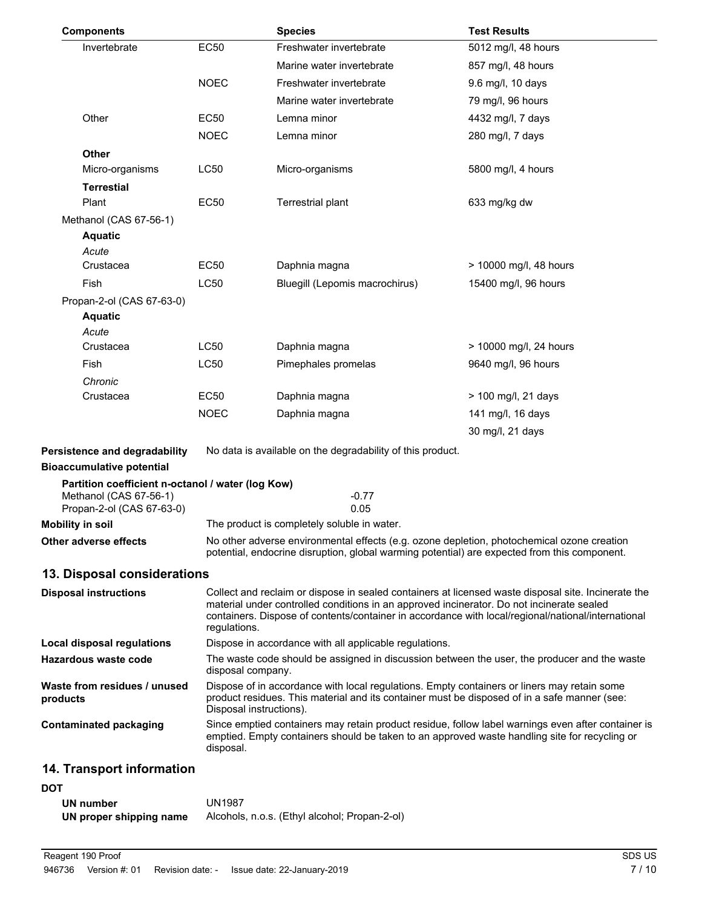| <b>Components</b>                                                 |                   | <b>Species</b>                                                                                                                                                                                                         | <b>Test Results</b>                                                                                 |  |
|-------------------------------------------------------------------|-------------------|------------------------------------------------------------------------------------------------------------------------------------------------------------------------------------------------------------------------|-----------------------------------------------------------------------------------------------------|--|
| Invertebrate                                                      | <b>EC50</b>       | Freshwater invertebrate                                                                                                                                                                                                | 5012 mg/l, 48 hours                                                                                 |  |
|                                                                   |                   | Marine water invertebrate                                                                                                                                                                                              | 857 mg/l, 48 hours                                                                                  |  |
|                                                                   | <b>NOEC</b>       | Freshwater invertebrate                                                                                                                                                                                                | 9.6 mg/l, 10 days                                                                                   |  |
|                                                                   |                   | Marine water invertebrate                                                                                                                                                                                              | 79 mg/l, 96 hours                                                                                   |  |
| Other                                                             | <b>EC50</b>       | Lemna minor                                                                                                                                                                                                            | 4432 mg/l, 7 days                                                                                   |  |
|                                                                   | <b>NOEC</b>       | Lemna minor                                                                                                                                                                                                            | 280 mg/l, 7 days                                                                                    |  |
| <b>Other</b>                                                      |                   |                                                                                                                                                                                                                        |                                                                                                     |  |
| Micro-organisms                                                   | LC50              | Micro-organisms                                                                                                                                                                                                        | 5800 mg/l, 4 hours                                                                                  |  |
| <b>Terrestial</b>                                                 |                   |                                                                                                                                                                                                                        |                                                                                                     |  |
| Plant                                                             | EC50              | Terrestrial plant                                                                                                                                                                                                      | 633 mg/kg dw                                                                                        |  |
| Methanol (CAS 67-56-1)                                            |                   |                                                                                                                                                                                                                        |                                                                                                     |  |
| <b>Aquatic</b><br>Acute                                           |                   |                                                                                                                                                                                                                        |                                                                                                     |  |
| Crustacea                                                         | <b>EC50</b>       | Daphnia magna                                                                                                                                                                                                          | > 10000 mg/l, 48 hours                                                                              |  |
| Fish                                                              | LC50              | Bluegill (Lepomis macrochirus)                                                                                                                                                                                         | 15400 mg/l, 96 hours                                                                                |  |
| Propan-2-ol (CAS 67-63-0)                                         |                   |                                                                                                                                                                                                                        |                                                                                                     |  |
| <b>Aquatic</b>                                                    |                   |                                                                                                                                                                                                                        |                                                                                                     |  |
| Acute                                                             |                   |                                                                                                                                                                                                                        |                                                                                                     |  |
| Crustacea                                                         | LC50              | Daphnia magna                                                                                                                                                                                                          | > 10000 mg/l, 24 hours                                                                              |  |
| Fish                                                              | LC50              | Pimephales promelas                                                                                                                                                                                                    | 9640 mg/l, 96 hours                                                                                 |  |
| Chronic                                                           |                   |                                                                                                                                                                                                                        |                                                                                                     |  |
| Crustacea                                                         | <b>EC50</b>       | Daphnia magna                                                                                                                                                                                                          | > 100 mg/l, 21 days                                                                                 |  |
|                                                                   | <b>NOEC</b>       | Daphnia magna                                                                                                                                                                                                          | 141 mg/l, 16 days                                                                                   |  |
|                                                                   |                   |                                                                                                                                                                                                                        | 30 mg/l, 21 days                                                                                    |  |
| Persistence and degradability<br><b>Bioaccumulative potential</b> |                   | No data is available on the degradability of this product.                                                                                                                                                             |                                                                                                     |  |
| Partition coefficient n-octanol / water (log Kow)                 |                   |                                                                                                                                                                                                                        |                                                                                                     |  |
| Methanol (CAS 67-56-1)                                            |                   | $-0.77$                                                                                                                                                                                                                |                                                                                                     |  |
| Propan-2-ol (CAS 67-63-0)                                         |                   | 0.05                                                                                                                                                                                                                   |                                                                                                     |  |
| <b>Mobility in soil</b>                                           |                   | The product is completely soluble in water.                                                                                                                                                                            |                                                                                                     |  |
| Other adverse effects                                             |                   | No other adverse environmental effects (e.g. ozone depletion, photochemical ozone creation<br>potential, endocrine disruption, global warming potential) are expected from this component.                             |                                                                                                     |  |
| 13. Disposal considerations                                       |                   |                                                                                                                                                                                                                        |                                                                                                     |  |
| <b>Disposal instructions</b>                                      |                   |                                                                                                                                                                                                                        | Collect and reclaim or dispose in sealed containers at licensed waste disposal site. Incinerate the |  |
|                                                                   |                   | material under controlled conditions in an approved incinerator. Do not incinerate sealed                                                                                                                              |                                                                                                     |  |
|                                                                   | regulations.      |                                                                                                                                                                                                                        | containers. Dispose of contents/container in accordance with local/regional/national/international  |  |
| Local disposal regulations                                        |                   | Dispose in accordance with all applicable regulations.                                                                                                                                                                 |                                                                                                     |  |
| Hazardous waste code                                              |                   | The waste code should be assigned in discussion between the user, the producer and the waste                                                                                                                           |                                                                                                     |  |
|                                                                   | disposal company. |                                                                                                                                                                                                                        |                                                                                                     |  |
| Waste from residues / unused<br>products                          |                   | Dispose of in accordance with local regulations. Empty containers or liners may retain some<br>product residues. This material and its container must be disposed of in a safe manner (see:<br>Disposal instructions). |                                                                                                     |  |
| <b>Contaminated packaging</b>                                     | disposal.         | Since emptied containers may retain product residue, follow label warnings even after container is<br>emptied. Empty containers should be taken to an approved waste handling site for recycling or                    |                                                                                                     |  |
| 14. Transport information                                         |                   |                                                                                                                                                                                                                        |                                                                                                     |  |
| <b>DOT</b>                                                        |                   |                                                                                                                                                                                                                        |                                                                                                     |  |
| <b>UN number</b>                                                  | <b>UN1987</b>     |                                                                                                                                                                                                                        |                                                                                                     |  |

| UN HUHIDEL              | <b>UITIJUI</b>                                |
|-------------------------|-----------------------------------------------|
| UN proper shipping name | Alcohols, n.o.s. (Ethyl alcohol; Propan-2-ol) |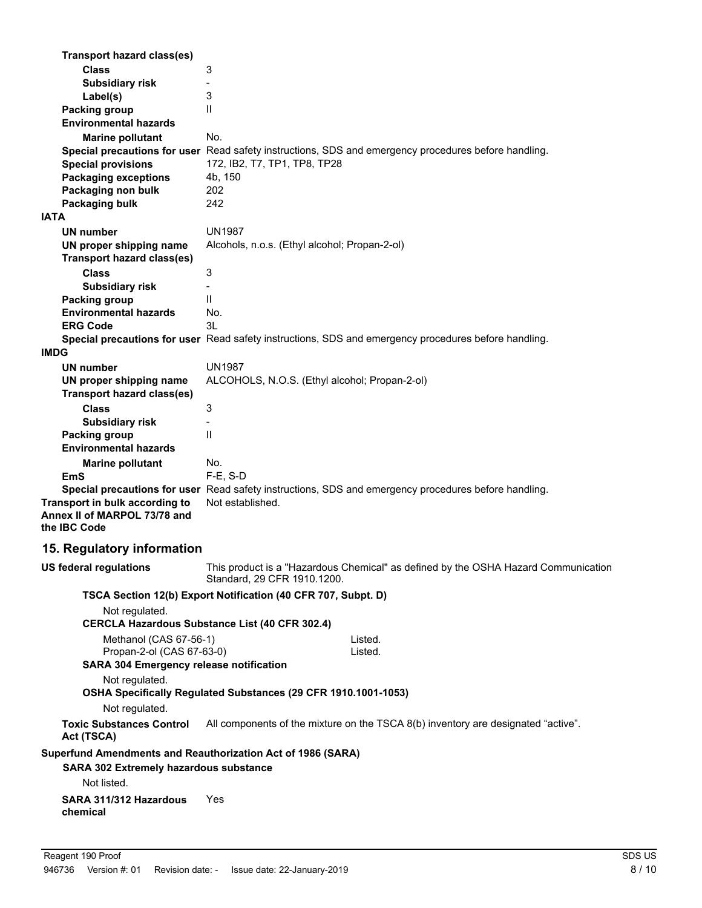| Transport hazard class(es)                                                     |                                                                                                                   |
|--------------------------------------------------------------------------------|-------------------------------------------------------------------------------------------------------------------|
| <b>Class</b><br><b>Subsidiary risk</b>                                         | 3<br>$\overline{\phantom{a}}$                                                                                     |
| Label(s)                                                                       | 3                                                                                                                 |
| <b>Packing group</b>                                                           | $\mathsf{I}$                                                                                                      |
| <b>Environmental hazards</b>                                                   |                                                                                                                   |
| <b>Marine pollutant</b>                                                        | No.                                                                                                               |
|                                                                                | Special precautions for user Read safety instructions, SDS and emergency procedures before handling.              |
| <b>Special provisions</b>                                                      | 172, IB2, T7, TP1, TP8, TP28                                                                                      |
| <b>Packaging exceptions</b>                                                    | 4b, 150                                                                                                           |
| Packaging non bulk                                                             | 202                                                                                                               |
| Packaging bulk                                                                 | 242                                                                                                               |
| <b>IATA</b>                                                                    |                                                                                                                   |
| UN number                                                                      | <b>UN1987</b>                                                                                                     |
| UN proper shipping name                                                        | Alcohols, n.o.s. (Ethyl alcohol; Propan-2-ol)                                                                     |
| <b>Transport hazard class(es)</b><br><b>Class</b>                              | 3                                                                                                                 |
| <b>Subsidiary risk</b>                                                         |                                                                                                                   |
| <b>Packing group</b>                                                           | $\mathsf{I}$                                                                                                      |
| <b>Environmental hazards</b>                                                   | No.                                                                                                               |
| <b>ERG Code</b>                                                                | 3L                                                                                                                |
|                                                                                | Special precautions for user Read safety instructions, SDS and emergency procedures before handling.              |
| <b>IMDG</b>                                                                    |                                                                                                                   |
| <b>UN number</b>                                                               | <b>UN1987</b>                                                                                                     |
| UN proper shipping name                                                        | ALCOHOLS, N.O.S. (Ethyl alcohol; Propan-2-ol)                                                                     |
| <b>Transport hazard class(es)</b>                                              |                                                                                                                   |
| <b>Class</b>                                                                   | 3                                                                                                                 |
| <b>Subsidiary risk</b>                                                         |                                                                                                                   |
| <b>Packing group</b>                                                           | $\mathsf{I}$                                                                                                      |
| <b>Environmental hazards</b>                                                   |                                                                                                                   |
| <b>Marine pollutant</b><br>EmS                                                 | No.<br>F-E, S-D                                                                                                   |
|                                                                                | Special precautions for user Read safety instructions, SDS and emergency procedures before handling.              |
| Transport in bulk according to<br>Annex II of MARPOL 73/78 and<br>the IBC Code | Not established.                                                                                                  |
| 15. Regulatory information                                                     |                                                                                                                   |
| <b>US federal regulations</b>                                                  | This product is a "Hazardous Chemical" as defined by the OSHA Hazard Communication<br>Standard, 29 CFR 1910.1200. |
|                                                                                | TSCA Section 12(b) Export Notification (40 CFR 707, Subpt. D)                                                     |
| Not regulated.                                                                 |                                                                                                                   |
|                                                                                | <b>CERCLA Hazardous Substance List (40 CFR 302.4)</b>                                                             |
| Methanol (CAS 67-56-1)                                                         | Listed.                                                                                                           |
| Propan-2-ol (CAS 67-63-0)                                                      | Listed.                                                                                                           |
| <b>SARA 304 Emergency release notification</b>                                 |                                                                                                                   |
| Not regulated.                                                                 | OSHA Specifically Regulated Substances (29 CFR 1910.1001-1053)                                                    |
| Not regulated.                                                                 |                                                                                                                   |
| <b>Toxic Substances Control</b><br>Act (TSCA)                                  | All components of the mixture on the TSCA 8(b) inventory are designated "active".                                 |
| Superfund Amendments and Reauthorization Act of 1986 (SARA)                    |                                                                                                                   |
| SARA 302 Extremely hazardous substance                                         |                                                                                                                   |
| Not listed.                                                                    |                                                                                                                   |
| SARA 311/312 Hazardous<br>chemical                                             | Yes                                                                                                               |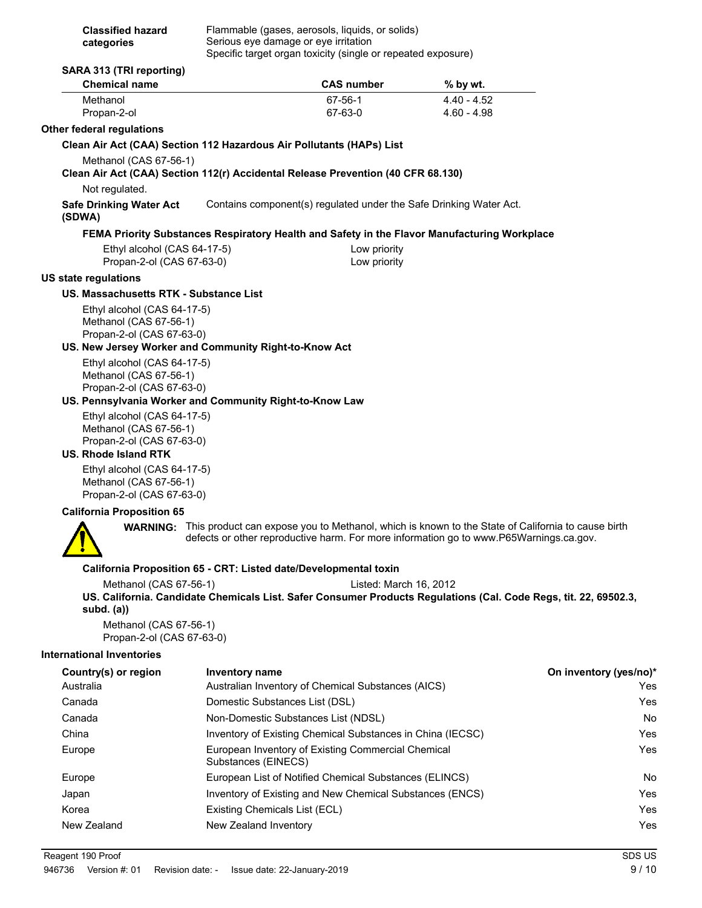| <b>Classified hazard</b> | Flammable (gases, aerosols, liquids, or solids)              |
|--------------------------|--------------------------------------------------------------|
| categories               | Serious eye damage or eye irritation                         |
|                          | Specific target organ toxicity (single or repeated exposure) |

| <b>Chemical name</b>                                                                                                                        |                | <b>CAS number</b>                                                  | % by wt.                                                                                                                                                                                                    |
|---------------------------------------------------------------------------------------------------------------------------------------------|----------------|--------------------------------------------------------------------|-------------------------------------------------------------------------------------------------------------------------------------------------------------------------------------------------------------|
| Methanol<br>Propan-2-ol                                                                                                                     |                | 67-56-1<br>67-63-0                                                 | $4.40 - 4.52$<br>$4.60 - 4.98$                                                                                                                                                                              |
| <b>Other federal regulations</b>                                                                                                            |                |                                                                    |                                                                                                                                                                                                             |
| Clean Air Act (CAA) Section 112 Hazardous Air Pollutants (HAPs) List                                                                        |                |                                                                    |                                                                                                                                                                                                             |
| Methanol (CAS 67-56-1)<br>Clean Air Act (CAA) Section 112(r) Accidental Release Prevention (40 CFR 68.130)                                  |                |                                                                    |                                                                                                                                                                                                             |
| Not regulated.                                                                                                                              |                |                                                                    |                                                                                                                                                                                                             |
| <b>Safe Drinking Water Act</b><br>(SDWA)                                                                                                    |                | Contains component(s) regulated under the Safe Drinking Water Act. |                                                                                                                                                                                                             |
|                                                                                                                                             |                |                                                                    | FEMA Priority Substances Respiratory Health and Safety in the Flavor Manufacturing Workplace                                                                                                                |
| Ethyl alcohol (CAS 64-17-5)<br>Propan-2-ol (CAS 67-63-0)                                                                                    |                | Low priority<br>Low priority                                       |                                                                                                                                                                                                             |
| <b>US state regulations</b>                                                                                                                 |                |                                                                    |                                                                                                                                                                                                             |
| US. Massachusetts RTK - Substance List                                                                                                      |                |                                                                    |                                                                                                                                                                                                             |
| Ethyl alcohol (CAS 64-17-5)<br>Methanol (CAS 67-56-1)<br>Propan-2-ol (CAS 67-63-0)<br>US. New Jersey Worker and Community Right-to-Know Act |                |                                                                    |                                                                                                                                                                                                             |
| Ethyl alcohol (CAS 64-17-5)                                                                                                                 |                |                                                                    |                                                                                                                                                                                                             |
| Methanol (CAS 67-56-1)                                                                                                                      |                |                                                                    |                                                                                                                                                                                                             |
| Propan-2-ol (CAS 67-63-0)<br>US. Pennsylvania Worker and Community Right-to-Know Law                                                        |                |                                                                    |                                                                                                                                                                                                             |
| Ethyl alcohol (CAS 64-17-5)                                                                                                                 |                |                                                                    |                                                                                                                                                                                                             |
| Methanol (CAS 67-56-1)<br>Propan-2-ol (CAS 67-63-0)                                                                                         |                |                                                                    |                                                                                                                                                                                                             |
| <b>US. Rhode Island RTK</b>                                                                                                                 |                |                                                                    |                                                                                                                                                                                                             |
| Ethyl alcohol (CAS 64-17-5)<br>Methanol (CAS 67-56-1)<br>Propan-2-ol (CAS 67-63-0)                                                          |                |                                                                    |                                                                                                                                                                                                             |
| <b>California Proposition 65</b>                                                                                                            |                |                                                                    |                                                                                                                                                                                                             |
|                                                                                                                                             |                |                                                                    | <b>WARNING:</b> This product can expose you to Methanol, which is known to the State of California to cause birth<br>defects or other reproductive harm. For more information go to www.P65Warnings.ca.gov. |
|                                                                                                                                             |                | California Proposition 65 - CRT: Listed date/Developmental toxin   |                                                                                                                                                                                                             |
| Methanol (CAS 67-56-1)                                                                                                                      |                | Listed: March 16, 2012                                             |                                                                                                                                                                                                             |
| subd. $(a)$                                                                                                                                 |                |                                                                    | US. California. Candidate Chemicals List. Safer Consumer Products Regulations (Cal. Code Regs, tit. 22, 69502.3,                                                                                            |
| Methanol (CAS 67-56-1)<br>Propan-2-ol (CAS 67-63-0)                                                                                         |                |                                                                    |                                                                                                                                                                                                             |
| <b>International Inventories</b>                                                                                                            |                |                                                                    |                                                                                                                                                                                                             |
| Country(s) or region                                                                                                                        | Inventory name |                                                                    | On inventory (yes/no)*                                                                                                                                                                                      |
| Australia                                                                                                                                   |                | Australian Inventory of Chemical Substances (AICS)                 | Yes                                                                                                                                                                                                         |

Canada Domestic Substances List (DSL) Yes Canada **Non-Domestic Substances List (NDSL)** Non-Domestic Substances List (NDSL) China Inventory of Existing Chemical Substances in China (IECSC) Yes Europe **European Inventory of Existing Commercial Chemical** Messenger Messenger and Test

Europe **European List of Notified Chemical Substances (ELINCS)** No Japan Inventory of Existing and New Chemical Substances (ENCS) Yes Korea **Existing Chemicals List (ECL) Existing Chemicals List (ECL) The System Constant Constant Constant Constant Constant Constant Constant Constant Constant Constant Constant Constant Constant Constant Constant Const** New Zealand New Zealand Inventory **New Zealand Inventory** All the United States of the Ves

Substances (EINECS)